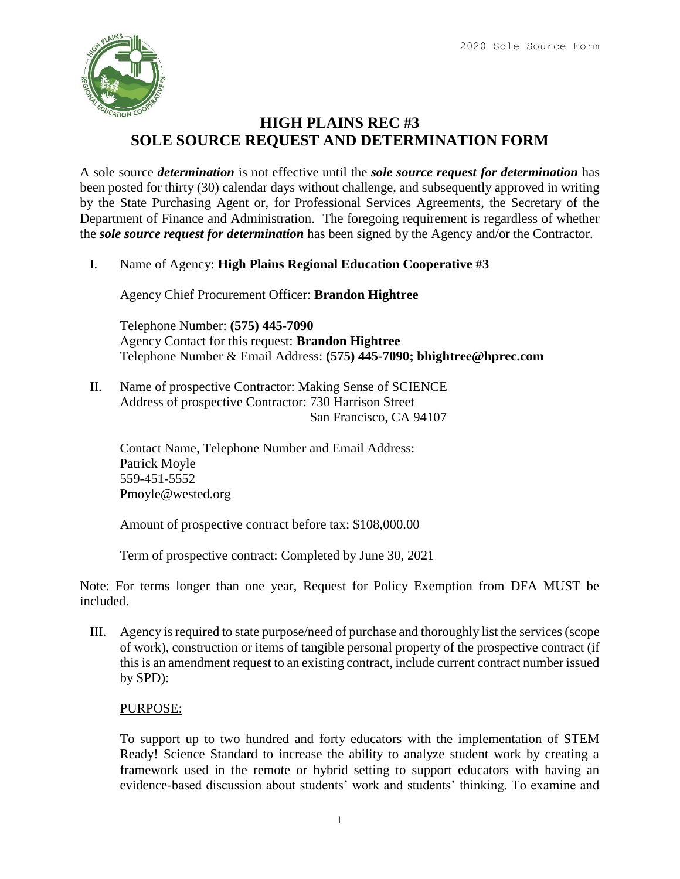

## **HIGH PLAINS REC #3 SOLE SOURCE REQUEST AND DETERMINATION FORM**

A sole source *determination* is not effective until the *sole source request for determination* has been posted for thirty (30) calendar days without challenge, and subsequently approved in writing by the State Purchasing Agent or, for Professional Services Agreements, the Secretary of the Department of Finance and Administration. The foregoing requirement is regardless of whether the *sole source request for determination* has been signed by the Agency and/or the Contractor.

I. Name of Agency: **High Plains Regional Education Cooperative #3**

Agency Chief Procurement Officer: **Brandon Hightree**

Telephone Number: **(575) 445-7090** Agency Contact for this request: **Brandon Hightree** Telephone Number & Email Address: **(575) 445-7090; bhightree@hprec.com**

II. Name of prospective Contractor: Making Sense of SCIENCE Address of prospective Contractor: 730 Harrison Street San Francisco, CA 94107

Contact Name, Telephone Number and Email Address: Patrick Moyle 559-451-5552 Pmoyle@wested.org

Amount of prospective contract before tax: \$108,000.00

Term of prospective contract: Completed by June 30, 2021

Note: For terms longer than one year, Request for Policy Exemption from DFA MUST be included.

III. Agency is required to state purpose/need of purchase and thoroughly list the services (scope of work), construction or items of tangible personal property of the prospective contract (if this is an amendment request to an existing contract, include current contract number issued by SPD):

### PURPOSE:

To support up to two hundred and forty educators with the implementation of STEM Ready! Science Standard to increase the ability to analyze student work by creating a framework used in the remote or hybrid setting to support educators with having an evidence-based discussion about students' work and students' thinking. To examine and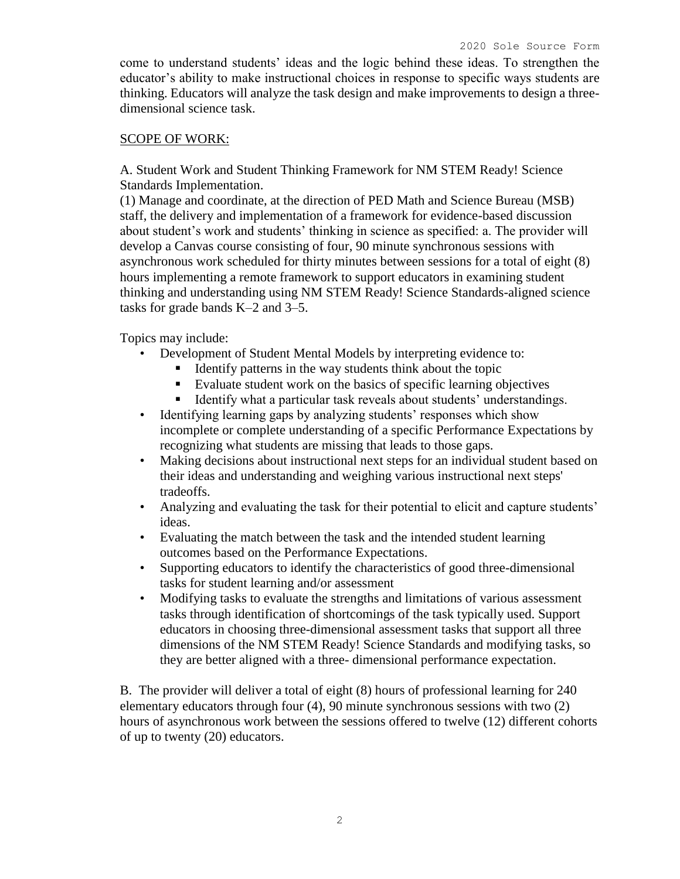come to understand students' ideas and the logic behind these ideas. To strengthen the educator's ability to make instructional choices in response to specific ways students are thinking. Educators will analyze the task design and make improvements to design a threedimensional science task.

#### SCOPE OF WORK:

A. Student Work and Student Thinking Framework for NM STEM Ready! Science Standards Implementation.

(1) Manage and coordinate, at the direction of PED Math and Science Bureau (MSB) staff, the delivery and implementation of a framework for evidence-based discussion about student's work and students' thinking in science as specified: a. The provider will develop a Canvas course consisting of four, 90 minute synchronous sessions with asynchronous work scheduled for thirty minutes between sessions for a total of eight (8) hours implementing a remote framework to support educators in examining student thinking and understanding using NM STEM Ready! Science Standards-aligned science tasks for grade bands K–2 and 3–5.

Topics may include:

- Development of Student Mental Models by interpreting evidence to:
	- Identify patterns in the way students think about the topic
	- Evaluate student work on the basics of specific learning objectives
	- Identify what a particular task reveals about students' understandings.
- Identifying learning gaps by analyzing students' responses which show incomplete or complete understanding of a specific Performance Expectations by recognizing what students are missing that leads to those gaps.
- Making decisions about instructional next steps for an individual student based on their ideas and understanding and weighing various instructional next steps' tradeoffs.
- Analyzing and evaluating the task for their potential to elicit and capture students' ideas.
- Evaluating the match between the task and the intended student learning outcomes based on the Performance Expectations.
- Supporting educators to identify the characteristics of good three-dimensional tasks for student learning and/or assessment
- Modifying tasks to evaluate the strengths and limitations of various assessment tasks through identification of shortcomings of the task typically used. Support educators in choosing three-dimensional assessment tasks that support all three dimensions of the NM STEM Ready! Science Standards and modifying tasks, so they are better aligned with a three- dimensional performance expectation.

B. The provider will deliver a total of eight (8) hours of professional learning for 240 elementary educators through four (4), 90 minute synchronous sessions with two (2) hours of asynchronous work between the sessions offered to twelve (12) different cohorts of up to twenty (20) educators.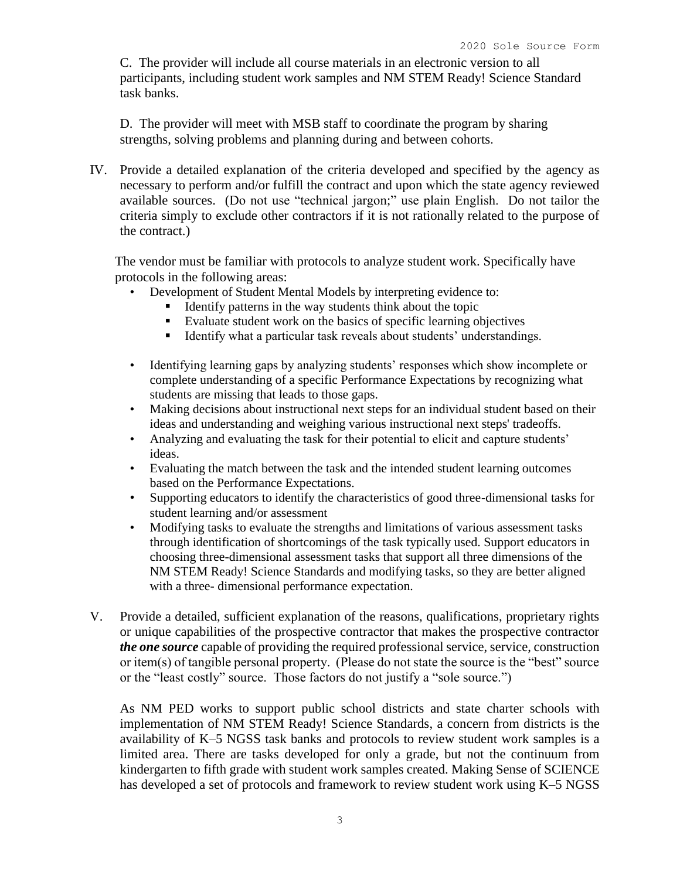C. The provider will include all course materials in an electronic version to all participants, including student work samples and NM STEM Ready! Science Standard task banks.

D. The provider will meet with MSB staff to coordinate the program by sharing strengths, solving problems and planning during and between cohorts.

IV. Provide a detailed explanation of the criteria developed and specified by the agency as necessary to perform and/or fulfill the contract and upon which the state agency reviewed available sources. (Do not use "technical jargon;" use plain English. Do not tailor the criteria simply to exclude other contractors if it is not rationally related to the purpose of the contract.)

The vendor must be familiar with protocols to analyze student work. Specifically have protocols in the following areas:

- Development of Student Mental Models by interpreting evidence to:
	- Identify patterns in the way students think about the topic
	- Evaluate student work on the basics of specific learning objectives
	- Identify what a particular task reveals about students' understandings.
- Identifying learning gaps by analyzing students' responses which show incomplete or complete understanding of a specific Performance Expectations by recognizing what students are missing that leads to those gaps.
- Making decisions about instructional next steps for an individual student based on their ideas and understanding and weighing various instructional next steps' tradeoffs.
- Analyzing and evaluating the task for their potential to elicit and capture students' ideas.
- Evaluating the match between the task and the intended student learning outcomes based on the Performance Expectations.
- Supporting educators to identify the characteristics of good three-dimensional tasks for student learning and/or assessment
- Modifying tasks to evaluate the strengths and limitations of various assessment tasks through identification of shortcomings of the task typically used. Support educators in choosing three-dimensional assessment tasks that support all three dimensions of the NM STEM Ready! Science Standards and modifying tasks, so they are better aligned with a three- dimensional performance expectation.
- V. Provide a detailed, sufficient explanation of the reasons, qualifications, proprietary rights or unique capabilities of the prospective contractor that makes the prospective contractor *the one source* capable of providing the required professional service, service, construction or item(s) of tangible personal property. (Please do not state the source is the "best" source or the "least costly" source. Those factors do not justify a "sole source.")

As NM PED works to support public school districts and state charter schools with implementation of NM STEM Ready! Science Standards, a concern from districts is the availability of K–5 NGSS task banks and protocols to review student work samples is a limited area. There are tasks developed for only a grade, but not the continuum from kindergarten to fifth grade with student work samples created. Making Sense of SCIENCE has developed a set of protocols and framework to review student work using K–5 NGSS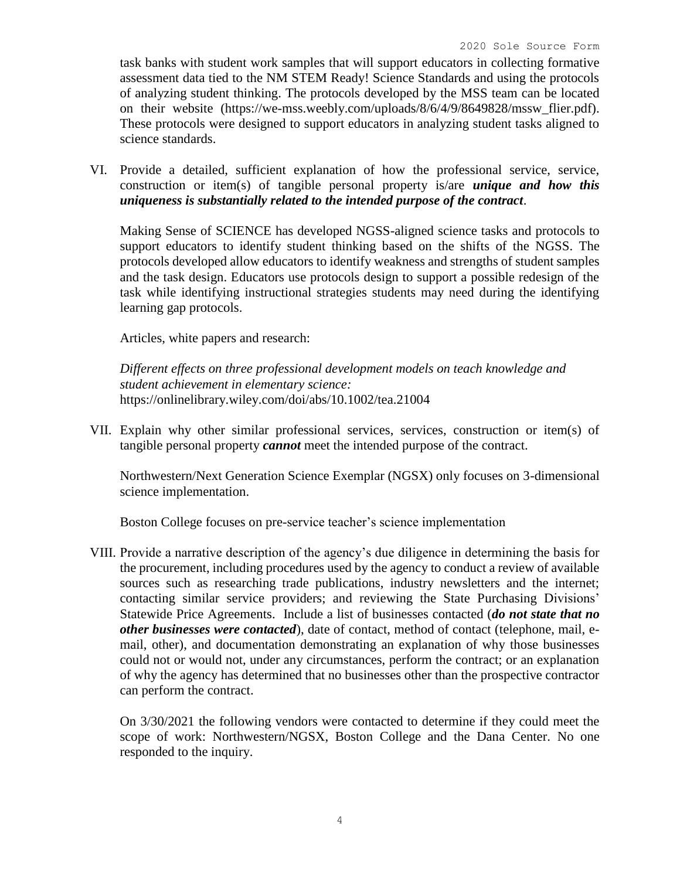task banks with student work samples that will support educators in collecting formative assessment data tied to the NM STEM Ready! Science Standards and using the protocols of analyzing student thinking. The protocols developed by the MSS team can be located on their website (https://we-mss.weebly.com/uploads/8/6/4/9/8649828/mssw\_flier.pdf). These protocols were designed to support educators in analyzing student tasks aligned to science standards.

VI. Provide a detailed, sufficient explanation of how the professional service, service, construction or item(s) of tangible personal property is/are *unique and how this uniqueness is substantially related to the intended purpose of the contract*.

Making Sense of SCIENCE has developed NGSS-aligned science tasks and protocols to support educators to identify student thinking based on the shifts of the NGSS. The protocols developed allow educators to identify weakness and strengths of student samples and the task design. Educators use protocols design to support a possible redesign of the task while identifying instructional strategies students may need during the identifying learning gap protocols.

Articles, white papers and research:

*Different effects on three professional development models on teach knowledge and student achievement in elementary science:* https://onlinelibrary.wiley.com/doi/abs/10.1002/tea.21004

VII. Explain why other similar professional services, services, construction or item(s) of tangible personal property *cannot* meet the intended purpose of the contract.

Northwestern/Next Generation Science Exemplar (NGSX) only focuses on 3-dimensional science implementation.

Boston College focuses on pre-service teacher's science implementation

VIII. Provide a narrative description of the agency's due diligence in determining the basis for the procurement, including procedures used by the agency to conduct a review of available sources such as researching trade publications, industry newsletters and the internet; contacting similar service providers; and reviewing the State Purchasing Divisions' Statewide Price Agreements. Include a list of businesses contacted (*do not state that no other businesses were contacted*), date of contact, method of contact (telephone, mail, email, other), and documentation demonstrating an explanation of why those businesses could not or would not, under any circumstances, perform the contract; or an explanation of why the agency has determined that no businesses other than the prospective contractor can perform the contract.

On 3/30/2021 the following vendors were contacted to determine if they could meet the scope of work: Northwestern/NGSX, Boston College and the Dana Center. No one responded to the inquiry.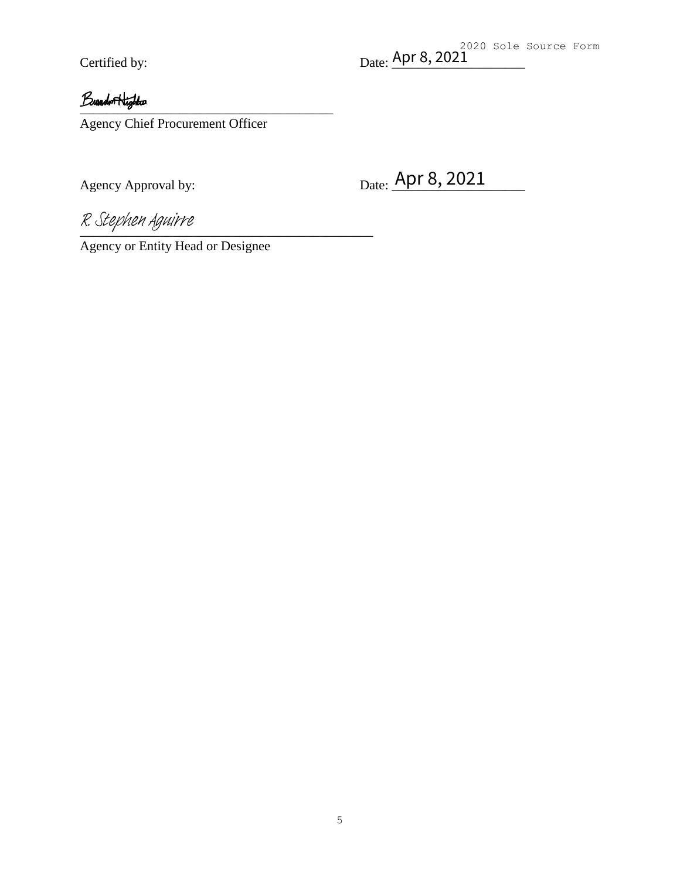2020 Sole Source Form Certified by:  $Date: \frac{API \ 8, 2021}$ 

## Buandon Highton

Agency Chief Procurement Officer

Certified by: Date: <u>Apr 8, 2021</u><br> *Band r*Highlar<br>
Agency Chief Procurement Officer<br>
Agency Approval by: Date: <u>Apr 8, 2021</u>

R. Stephen Aguirre

Agency or Entity Head or Designee